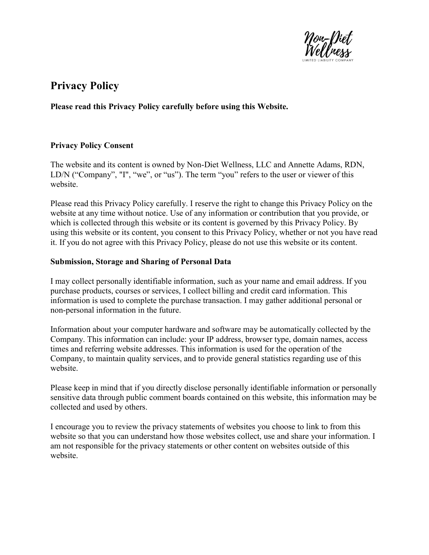

# Privacy Policy

## Please read this Privacy Policy carefully before using this Website.

#### Privacy Policy Consent

The website and its content is owned by Non-Diet Wellness, LLC and Annette Adams, RDN, LD/N ("Company", "I", "we", or "us"). The term "you" refers to the user or viewer of this website.

Please read this Privacy Policy carefully. I reserve the right to change this Privacy Policy on the website at any time without notice. Use of any information or contribution that you provide, or which is collected through this website or its content is governed by this Privacy Policy. By using this website or its content, you consent to this Privacy Policy, whether or not you have read it. If you do not agree with this Privacy Policy, please do not use this website or its content.

#### Submission, Storage and Sharing of Personal Data

I may collect personally identifiable information, such as your name and email address. If you purchase products, courses or services, I collect billing and credit card information. This information is used to complete the purchase transaction. I may gather additional personal or non-personal information in the future.

Information about your computer hardware and software may be automatically collected by the Company. This information can include: your IP address, browser type, domain names, access times and referring website addresses. This information is used for the operation of the Company, to maintain quality services, and to provide general statistics regarding use of this website.

Please keep in mind that if you directly disclose personally identifiable information or personally sensitive data through public comment boards contained on this website, this information may be collected and used by others.

I encourage you to review the privacy statements of websites you choose to link to from this website so that you can understand how those websites collect, use and share your information. I am not responsible for the privacy statements or other content on websites outside of this website.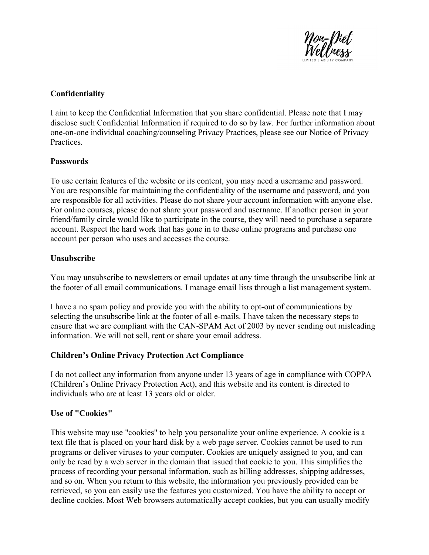

## Confidentiality

I aim to keep the Confidential Information that you share confidential. Please note that I may disclose such Confidential Information if required to do so by law. For further information about one-on-one individual coaching/counseling Privacy Practices, please see our Notice of Privacy Practices.

## Passwords

To use certain features of the website or its content, you may need a username and password. You are responsible for maintaining the confidentiality of the username and password, and you are responsible for all activities. Please do not share your account information with anyone else. For online courses, please do not share your password and username. If another person in your friend/family circle would like to participate in the course, they will need to purchase a separate account. Respect the hard work that has gone in to these online programs and purchase one account per person who uses and accesses the course.

#### Unsubscribe

You may unsubscribe to newsletters or email updates at any time through the unsubscribe link at the footer of all email communications. I manage email lists through a list management system.

I have a no spam policy and provide you with the ability to opt-out of communications by selecting the unsubscribe link at the footer of all e-mails. I have taken the necessary steps to ensure that we are compliant with the CAN-SPAM Act of 2003 by never sending out misleading information. We will not sell, rent or share your email address.

## Children's Online Privacy Protection Act Compliance

I do not collect any information from anyone under 13 years of age in compliance with COPPA (Children's Online Privacy Protection Act), and this website and its content is directed to individuals who are at least 13 years old or older.

## Use of "Cookies"

This website may use "cookies" to help you personalize your online experience. A cookie is a text file that is placed on your hard disk by a web page server. Cookies cannot be used to run programs or deliver viruses to your computer. Cookies are uniquely assigned to you, and can only be read by a web server in the domain that issued that cookie to you. This simplifies the process of recording your personal information, such as billing addresses, shipping addresses, and so on. When you return to this website, the information you previously provided can be retrieved, so you can easily use the features you customized. You have the ability to accept or decline cookies. Most Web browsers automatically accept cookies, but you can usually modify